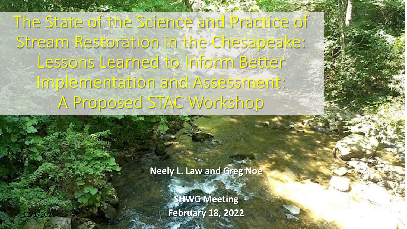The State of the Science and Practice of Stream Restoration in the Chesapeake: Lessons Learned to Inform Better Implementation and Assessment: A Proposed STAC Workshop

**Neely L. Law and Greg Noe**

**SHWG Meeting February 18, 2022**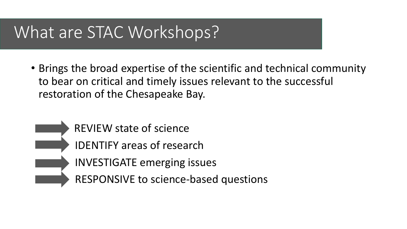# What are STAC Workshops?

- Brings the broad expertise of the scientific and technical community to bear on critical and timely issues relevant to the successful restoration of the Chesapeake Bay.
	- REVIEW state of science IDENTIFY areas of research INVESTIGATE emerging issues RESPONSIVE to science-based questions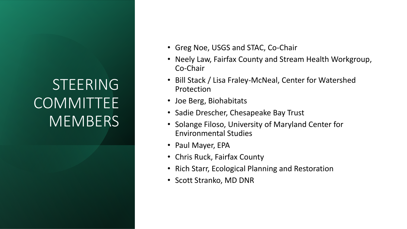# STEERING **COMMITTEE MEMBERS**

- Greg Noe, USGS and STAC, Co-Chair
- Neely Law, Fairfax County and Stream Health Workgroup, Co-Chair
- Bill Stack / Lisa Fraley-McNeal, Center for Watershed Protection
- Joe Berg, Biohabitats
- Sadie Drescher, Chesapeake Bay Trust
- Solange Filoso, University of Maryland Center for Environmental Studies
- Paul Mayer, EPA
- Chris Ruck, Fairfax County
- Rich Starr, Ecological Planning and Restoration
- Scott Stranko, MD DNR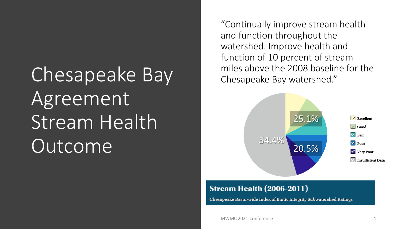# Chesapeake Bay Agreement Stream Health Outcome

"Continually improve stream health and function throughout the watershed. Improve health and function of 10 percent of stream miles above the 2008 baseline for the Chesapeake Bay watershed."



#### **Stream Health (2006-2011)**

Chesapeake Basin-wide Index of Biotic Integrity Subwatershed Ratings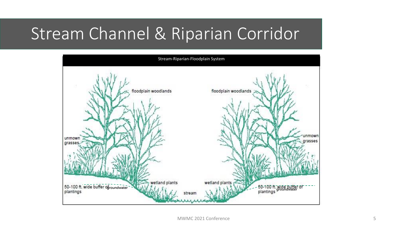# Stream Channel & Riparian Corridor

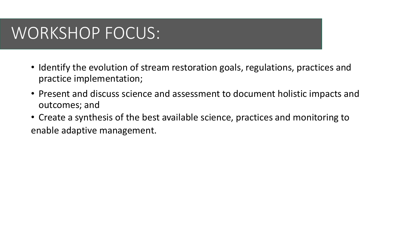# WORKSHOP FOCUS:

- Identify the evolution of stream restoration goals, regulations, practices and practice implementation;
- Present and discuss science and assessment to document holistic impacts and outcomes; and
- Create a synthesis of the best available science, practices and monitoring to enable adaptive management.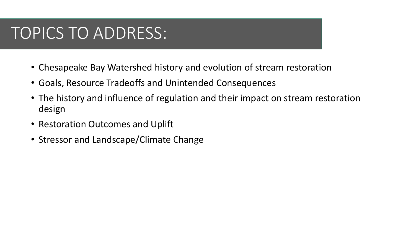# TOPICS TO ADDRESS:

- Chesapeake Bay Watershed history and evolution of stream restoration
- Goals, Resource Tradeoffs and Unintended Consequences
- The history and influence of regulation and their impact on stream restoration design
- Restoration Outcomes and Uplift
- Stressor and Landscape/Climate Change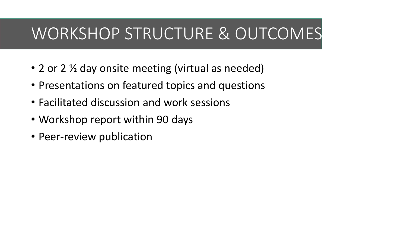# WORKSHOP STRUCTURE & OUTCOMES

- 2 or 2  $\frac{1}{2}$  day onsite meeting (virtual as needed)
- Presentations on featured topics and questions
- Facilitated discussion and work sessions
- Workshop report within 90 days
- Peer-review publication